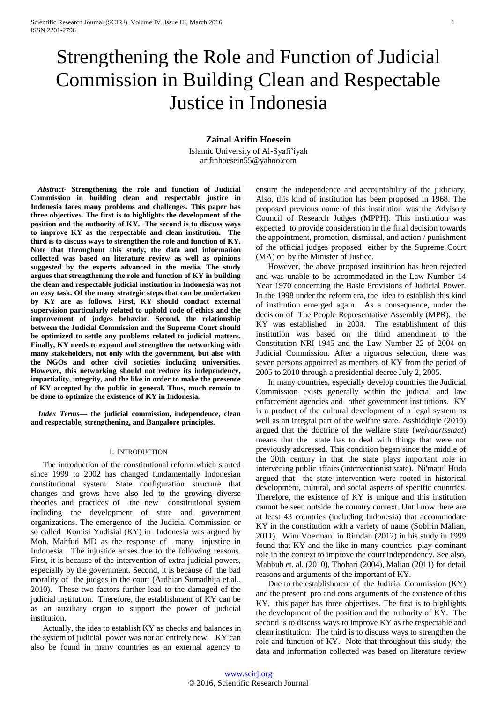# Strengthening the Role and Function of Judicial Commission in Building Clean and Respectable Justice in Indonesia

## **Zainal Arifin Hoesein**

Islamic University of Al-Syafi'iyah arifinhoesein55@yahoo.com

*Abstract***- Strengthening the role and function of Judicial Commission in building clean and respectable justice in Indonesia faces many problems and challenges. This paper has three objectives. The first is to highlights the development of the position and the authority of KY. The second is to discuss ways to improve KY as the respectable and clean institution. The third is to discuss ways to strengthen the role and function of KY. Note that throughout this study, the data and information collected was based on literature review as well as opinions suggested by the experts advanced in the media. The study argues that strengthening the role and function of KY in building the clean and respectable judicial institution in Indonesia was not an easy task. Of the many strategic steps that can be undertaken by KY are as follows. First, KY should conduct external supervision particularly related to uphold code of ethics and the improvement of judges behavior. Second, the relationship between the Judicial Commission and the Supreme Court should be optimized to settle any problems related to judicial matters. Finally, KY needs to expand and strengthen the networking with many stakeholders, not only with the government, but also with the NGOs and other civil societies including universities. However, this networking should not reduce its independency, impartiality, integrity, and the like in order to make the presence of KY accepted by the public in general. Thus, much remain to be done to optimize the existence of KY in Indonesia.**

*Index Terms***— the judicial commission, independence, clean and respectable, strengthening, and Bangalore principles.**

## I. INTRODUCTION

The introduction of the constitutional reform which started since 1999 to 2002 has changed fundamentally Indonesian constitutional system. State configuration structure that changes and grows have also led to the growing diverse theories and practices of the new constitutional system including the development of state and government organizations. The emergence of the Judicial Commission or so called Komisi Yudisial (KY) in Indonesia was argued by Moh. Mahfud MD as the response of many injustice in Indonesia. The injustice arises due to the following reasons. First, it is because of the intervention of extra-judicial powers, especially by the government. Second, it is because of the bad morality of the judges in the court (Ardhian Sumadhija et.al., 2010). These two factors further lead to the damaged of the judicial institution. Therefore, the establishment of KY can be as an auxiliary organ to support the power of judicial institution.

Actually, the idea to establish KY as checks and balances in the system of judicial power was not an entirely new. KY can also be found in many countries as an external agency to

ensure the independence and accountability of the judiciary. Also, this kind of institution has been proposed in 1968. The proposed previous name of this institution was the Advisory Council of Research Judges (MPPH). This institution was expected to provide consideration in the final decision towards the appointment, promotion, dismissal, and action / punishment of the official judges proposed either by the Supreme Court (MA) or by the Minister of Justice.

However, the above proposed institution has been rejected and was unable to be accommodated in the Law Number 14 Year 1970 concerning the Basic Provisions of Judicial Power. In the 1998 under the reform era, the idea to establish this kind of institution emerged again. As a consequence, under the decision of The People Representative Assembly (MPR), the KY was established in 2004. The establishment of this institution was based on the third amendment to the Constitution NRI 1945 and the Law Number 22 of 2004 on Judicial Commission. After a rigorous selection, there was seven persons appointed as members of KY from the period of 2005 to 2010 through a presidential decree July 2, 2005.

In many countries, especially develop countries the Judicial Commission exists generally within the judicial and law enforcement agencies and other government institutions. KY is a product of the cultural development of a legal system as well as an integral part of the welfare state. Asshiddiqie (2010) argued that the doctrine of the welfare state (*welvaartsstaat*) means that the state has to deal with things that were not previously addressed. This condition began since the middle of the 20th century in that the state plays important role in intervening public affairs (interventionist state). Ni'matul Huda argued that the state intervention were rooted in historical development, cultural, and social aspects of specific countries. Therefore, the existence of KY is unique and this institution cannot be seen outside the country context. Until now there are at least 43 countries (including Indonesia) that accommodate KY in the constitution with a variety of name (Sobirin Malian, 2011). Wim Voerman in Rimdan (2012) in his study in 1999 found that KY and the like in many countries play dominant role in the context to improve the court independency. See also, Mahbub et. al. (2010), Thohari (2004), Malian (2011) for detail reasons and arguments of the important of KY.

Due to the establishment of the Judicial Commission (KY) and the present pro and cons arguments of the existence of this KY, this paper has three objectives. The first is to highlights the development of the position and the authority of KY. The second is to discuss ways to improve KY as the respectable and clean institution. The third is to discuss ways to strengthen the role and function of KY. Note that throughout this study, the data and information collected was based on literature review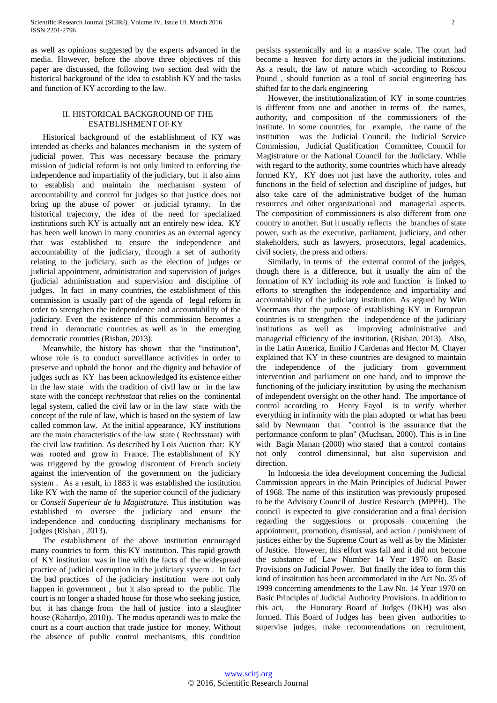as well as opinions suggested by the experts advanced in the media. However, before the above three objectives of this paper are discussed, the following two section deal with the historical background of the idea to establish KY and the tasks and function of KY according to the law.

## II. HISTORICAL BACKGROUND OF THE ESATBLISHMENT OF KY

Historical background of the establishment of KY was intended as checks and balances mechanism in the system of judicial power. This was necessary because the primary mission of judicial reform is not only limited to enforcing the independence and impartiality of the judiciary, but it also aims to establish and maintain the mechanism system of accountability and control for judges so that justice does not bring up the abuse of power or judicial tyranny. In the historical trajectory, the idea of the need for specialized institutions such KY is actually not an entirely new idea. KY has been well known in many countries as an external agency that was established to ensure the independence and accountability of the judiciary, through a set of authority relating to the judiciary, such as the election of judges or judicial appointment, administration and supervision of judges (judicial administration and supervision and discipline of judges. In fact in many countries, the establishment of this commission is usually part of the agenda of legal reform in order to strengthen the independence and accountability of the judiciary. Even the existence of this commission becomes a trend in democratic countries as well as in the emerging democratic countries (Rishan, 2013).

Meanwhile, the history has shown that the "institution", whose role is to conduct surveillance activities in order to preserve and uphold the honor and the dignity and behavior of judges such as KY has been acknowledged its existence either in the law state with the tradition of civil law or in the law state with the concept *rechtsstaat* that relies on the continental legal system, called the civil law or in the law state with the concept of the rule of law, which is based on the system of law called common law. At the initial appearance, KY institutions are the main characteristics of the law state ( Rechtsstaat) with the civil law tradition. As described by Lois Auction that: KY was rooted and grow in France. The establishment of KY was triggered by the growing discontent of French society against the intervention of the government on the judiciary system . As a result, in 1883 it was established the institution like KY with the name of the superior council of the judiciary or *Conseil Superieur de la Magistrature.* This institution was established to oversee the judiciary and ensure the independence and conducting disciplinary mechanisms for judges (Rishan , 2013).

The establishment of the above institution encouraged many countries to form this KY institution. This rapid growth of KY institution was in line with the facts of the widespread practice of judicial corruption in the judiciary system . In fact the bad practices of the judiciary institution were not only happen in government , but it also spread to the public. The court is no longer a shaded house for those who seeking justice, but it has change from the hall of justice into a slaughter house (Rahardjo, 2010)). The modus operandi was to make the court as a court auction that trade justice for money. Without the absence of public control mechanisms, this condition

persists systemically and in a massive scale. The court had become a heaven for dirty actors in the judicial institutions. As a result, the law of nature which -according to Roscou Pound , should function as a tool of social engineering has shifted far to the dark engineering

However, the institutionalization of KY in some countries is different from one and another in terms of the names, authority, and composition of the commissioners of the institute. In some countries, for example, the name of the institution was the Judicial Council, the Judicial Service Commission, Judicial Qualification Committee, Council for Magistrature or the National Council for the Judiciary. While with regard to the authority, some countries which have already formed KY, KY does not just have the authority, roles and functions in the field of selection and discipline of judges, but also take care of the administrative budget of the human resources and other organizational and managerial aspects. The composition of commissioners is also different from one country to another. But it usually reflects the branches of state power, such as the executive, parliament, judiciary, and other stakeholders, such as lawyers, prosecutors, legal academics, civil society, the press and others.

Similarly, in terms of the external control of the judges, though there is a difference, but it usually the aim of the formation of KY including its role and function is linked to efforts to strengthen the independence and impartiality and accountability of the judiciary institution. As argued by Wim Voermans that the purpose of establishing KY in European countries is to strengthen the independence of the judiciary institutions as well as improving administrative and managerial efficiency of the institution. (Rishan, 2013). Also, in the Latin America, Emilio J Cardenas and Hector M. Chayer explained that KY in these countries are designed to maintain the independence of the judiciary from government intervention and parliament on one hand, and to improve the functioning of the judiciary institution by using the mechanism of independent oversight on the other hand. The importance of control according to Henry Fayol is to verify whether everything in infirmity with the plan adopted or what has been said by Newmann that "control is the assurance that the performance conform to plan" (Muchsan, 2000). This is in line with Bagir Manan (2000) who stated that a control contains not only control dimensional, but also supervision and direction.

In Indonesia the idea development concerning the Judicial Commission appears in the Main Principles of Judicial Power of 1968. The name of this institution was previously proposed to be the Advisory Council of Justice Research (MPPH). The council is expected to give consideration and a final decision regarding the suggestions or proposals concerning the appointment, promotion, dismissal, and action / punishment of justices either by the Supreme Court as well as by the Minister of Justice. However, this effort was fail and it did not become the substance of Law Number 14 Year 1970 on Basic Provisions on Judicial Power. But finally the idea to form this kind of institution has been accommodated in the Act No. 35 of 1999 concerning amendments to the Law No. 14 Year 1970 on Basic Principles of Judicial Authority Provisions. In addition to this act, the Honorary Board of Judges (DKH) was also formed. This Board of Judges has been given authorities to supervise judges, make recommendations on recruitment,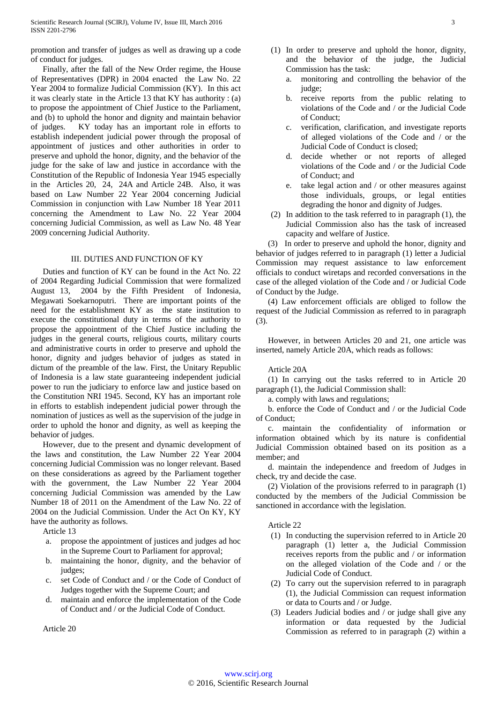promotion and transfer of judges as well as drawing up a code of conduct for judges.

Finally, after the fall of the New Order regime, the House of Representatives (DPR) in 2004 enacted the Law No. 22 Year 2004 to formalize Judicial Commission (KY). In this act it was clearly state in the Article 13 that KY has authority : (a) to propose the appointment of Chief Justice to the Parliament, and (b) to uphold the honor and dignity and maintain behavior of judges. KY today has an important role in efforts to establish independent judicial power through the proposal of appointment of justices and other authorities in order to preserve and uphold the honor, dignity, and the behavior of the judge for the sake of law and justice in accordance with the Constitution of the Republic of Indonesia Year 1945 especially in the Articles 20, 24, 24A and Article 24B. Also, it was based on Law Number 22 Year 2004 concerning Judicial Commission in conjunction with Law Number 18 Year 2011 concerning the Amendment to Law No. 22 Year 2004 concerning Judicial Commission, as well as Law No. 48 Year 2009 concerning Judicial Authority.

### III. DUTIES AND FUNCTION OF KY

Duties and function of KY can be found in the Act No. 22 of 2004 Regarding Judicial Commission that were formalized August 13, 2004 by the Fifth President of Indonesia, Megawati Soekarnoputri. There are important points of the need for the establishment KY as the state institution to execute the constitutional duty in terms of the authority to propose the appointment of the Chief Justice including the judges in the general courts, religious courts, military courts and administrative courts in order to preserve and uphold the honor, dignity and judges behavior of judges as stated in dictum of the preamble of the law. First, the Unitary Republic of Indonesia is a law state guaranteeing independent judicial power to run the judiciary to enforce law and justice based on the Constitution NRI 1945. Second, KY has an important role in efforts to establish independent judicial power through the nomination of justices as well as the supervision of the judge in order to uphold the honor and dignity, as well as keeping the behavior of judges.

However, due to the present and dynamic development of the laws and constitution, the Law Number 22 Year 2004 concerning Judicial Commission was no longer relevant. Based on these considerations as agreed by the Parliament together with the government, the Law Number 22 Year 2004 concerning Judicial Commission was amended by the Law Number 18 of 2011 on the Amendment of the Law No. 22 of 2004 on the Judicial Commission. Under the Act On KY, KY have the authority as follows.

Article 13

- propose the appointment of justices and judges ad hoc in the Supreme Court to Parliament for approval;
- b. maintaining the honor, dignity, and the behavior of judges;
- c. set Code of Conduct and / or the Code of Conduct of Judges together with the Supreme Court; and
- maintain and enforce the implementation of the Code of Conduct and / or the Judicial Code of Conduct.

Article 20

- (1) In order to preserve and uphold the honor, dignity, and the behavior of the judge, the Judicial Commission has the task:
	- a. monitoring and controlling the behavior of the judge:
	- b. receive reports from the public relating to violations of the Code and / or the Judicial Code of Conduct;
	- c. verification, clarification, and investigate reports of alleged violations of the Code and / or the Judicial Code of Conduct is closed;
	- d. decide whether or not reports of alleged violations of the Code and / or the Judicial Code of Conduct; and
	- e. take legal action and / or other measures against those individuals, groups, or legal entities degrading the honor and dignity of Judges.
- (2) In addition to the task referred to in paragraph (1), the Judicial Commission also has the task of increased capacity and welfare of Justice.

(3) In order to preserve and uphold the honor, dignity and behavior of judges referred to in paragraph (1) letter a Judicial Commission may request assistance to law enforcement officials to conduct wiretaps and recorded conversations in the case of the alleged violation of the Code and / or Judicial Code of Conduct by the Judge.

(4) Law enforcement officials are obliged to follow the request of the Judicial Commission as referred to in paragraph (3).

However, in between Articles 20 and 21, one article was inserted, namely Article 20A, which reads as follows:

#### Article 20A

(1) In carrying out the tasks referred to in Article 20 paragraph (1), the Judicial Commission shall:

a. comply with laws and regulations;

b. enforce the Code of Conduct and / or the Judicial Code of Conduct;

c. maintain the confidentiality of information or information obtained which by its nature is confidential Judicial Commission obtained based on its position as a member; and

d. maintain the independence and freedom of Judges in check, try and decide the case.

(2) Violation of the provisions referred to in paragraph (1) conducted by the members of the Judicial Commission be sanctioned in accordance with the legislation.

Article 22

- (1) In conducting the supervision referred to in Article 20 paragraph (1) letter a, the Judicial Commission receives reports from the public and / or information on the alleged violation of the Code and / or the Judicial Code of Conduct.
- (2) To carry out the supervision referred to in paragraph (1), the Judicial Commission can request information or data to Courts and / or Judge.
- (3) Leaders Judicial bodies and / or judge shall give any information or data requested by the Judicial Commission as referred to in paragraph (2) within a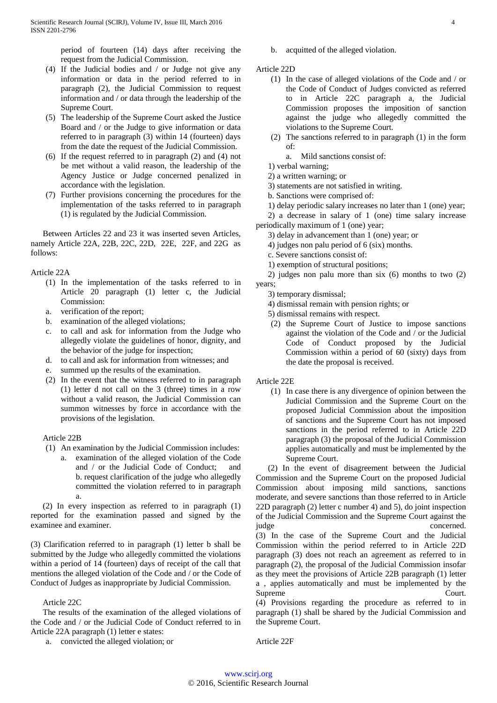period of fourteen (14) days after receiving the request from the Judicial Commission.

- (4) If the Judicial bodies and / or Judge not give any information or data in the period referred to in paragraph (2), the Judicial Commission to request information and / or data through the leadership of the Supreme Court.
- (5) The leadership of the Supreme Court asked the Justice Board and / or the Judge to give information or data referred to in paragraph (3) within 14 (fourteen) days from the date the request of the Judicial Commission.
- (6) If the request referred to in paragraph (2) and (4) not be met without a valid reason, the leadership of the Agency Justice or Judge concerned penalized in accordance with the legislation.
- (7) Further provisions concerning the procedures for the implementation of the tasks referred to in paragraph (1) is regulated by the Judicial Commission.

Between Articles 22 and 23 it was inserted seven Articles, namely Article 22A, 22B, 22C, 22D, 22E, 22F, and 22G as follows:

## Article 22A

- (1) In the implementation of the tasks referred to in Article 20 paragraph (1) letter c, the Judicial Commission:
- a. verification of the report;
- b. examination of the alleged violations;
- c. to call and ask for information from the Judge who allegedly violate the guidelines of honor, dignity, and the behavior of the judge for inspection;
- d. to call and ask for information from witnesses; and
- e. summed up the results of the examination.
- (2) In the event that the witness referred to in paragraph (1) letter d not call on the 3 (three) times in a row without a valid reason, the Judicial Commission can summon witnesses by force in accordance with the provisions of the legislation.

## Article 22B

- (1) An examination by the Judicial Commission includes:
	- a. examination of the alleged violation of the Code and / or the Judicial Code of Conduct; and b. request clarification of the judge who allegedly committed the violation referred to in paragraph a.

(2) In every inspection as referred to in paragraph (1) reported for the examination passed and signed by the examinee and examiner.

(3) Clarification referred to in paragraph (1) letter b shall be submitted by the Judge who allegedly committed the violations within a period of 14 (fourteen) days of receipt of the call that mentions the alleged violation of the Code and / or the Code of Conduct of Judges as inappropriate by Judicial Commission.

## Article 22C

The results of the examination of the alleged violations of the Code and / or the Judicial Code of Conduct referred to in Article 22A paragraph (1) letter e states:

a. convicted the alleged violation; or

- b. acquitted of the alleged violation.
- Article 22D
	- (1) In the case of alleged violations of the Code and / or the Code of Conduct of Judges convicted as referred to in Article 22C paragraph a, the Judicial Commission proposes the imposition of sanction against the judge who allegedly committed the violations to the Supreme Court.
	- (2) The sanctions referred to in paragraph (1) in the form of:
		- a. Mild sanctions consist of:
	- 1) verbal warning;
	- 2) a written warning; or
	- 3) statements are not satisfied in writing.
	- b. Sanctions were comprised of:
	- 1) delay periodic salary increases no later than 1 (one) year;

2) a decrease in salary of 1 (one) time salary increase periodically maximum of 1 (one) year;

- 3) delay in advancement than 1 (one) year; or
- 4) judges non palu period of 6 (six) months.
- c. Severe sanctions consist of:
- 1) exemption of structural positions;

2) judges non palu more than six (6) months to two (2) years;

- 3) temporary dismissal;
- 4) dismissal remain with pension rights; or
- 5) dismissal remains with respect.
- (2) the Supreme Court of Justice to impose sanctions against the violation of the Code and / or the Judicial Code of Conduct proposed by the Judicial Commission within a period of 60 (sixty) days from the date the proposal is received.
- Article 22E
	- (1) In case there is any divergence of opinion between the Judicial Commission and the Supreme Court on the proposed Judicial Commission about the imposition of sanctions and the Supreme Court has not imposed sanctions in the period referred to in Article 22D paragraph (3) the proposal of the Judicial Commission applies automatically and must be implemented by the Supreme Court.

(2) In the event of disagreement between the Judicial Commission and the Supreme Court on the proposed Judicial Commission about imposing mild sanctions, sanctions moderate, and severe sanctions than those referred to in Article 22D paragraph (2) letter c number 4) and 5), do joint inspection of the Judicial Commission and the Supreme Court against the judge concerned.

(3) In the case of the Supreme Court and the Judicial Commission within the period referred to in Article 22D paragraph (3) does not reach an agreement as referred to in paragraph (2), the proposal of the Judicial Commission insofar as they meet the provisions of Article 22B paragraph (1) letter a , applies automatically and must be implemented by the Supreme Court.

(4) Provisions regarding the procedure as referred to in paragraph (1) shall be shared by the Judicial Commission and the Supreme Court.

Article 22F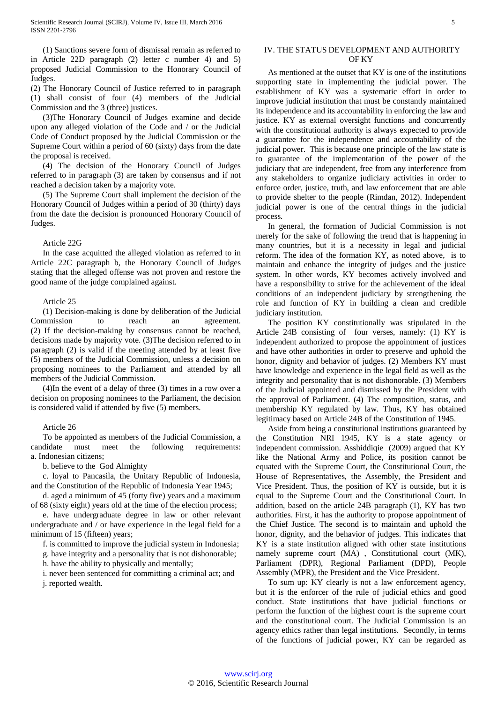(1) Sanctions severe form of dismissal remain as referred to in Article 22D paragraph (2) letter c number 4) and 5) proposed Judicial Commission to the Honorary Council of Judges.

(2) The Honorary Council of Justice referred to in paragraph (1) shall consist of four (4) members of the Judicial Commission and the 3 (three) justices.

(3)The Honorary Council of Judges examine and decide upon any alleged violation of the Code and / or the Judicial Code of Conduct proposed by the Judicial Commission or the Supreme Court within a period of 60 (sixty) days from the date the proposal is received.

(4) The decision of the Honorary Council of Judges referred to in paragraph (3) are taken by consensus and if not reached a decision taken by a majority vote.

(5) The Supreme Court shall implement the decision of the Honorary Council of Judges within a period of 30 (thirty) days from the date the decision is pronounced Honorary Council of Judges.

#### Article 22G

In the case acquitted the alleged violation as referred to in Article 22C paragraph b, the Honorary Council of Judges stating that the alleged offense was not proven and restore the good name of the judge complained against.

#### Article 25

(1) Decision-making is done by deliberation of the Judicial Commission to reach an agreement. (2) If the decision-making by consensus cannot be reached, decisions made by majority vote. (3)The decision referred to in paragraph (2) is valid if the meeting attended by at least five (5) members of the Judicial Commission, unless a decision on proposing nominees to the Parliament and attended by all members of the Judicial Commission.

(4)In the event of a delay of three (3) times in a row over a decision on proposing nominees to the Parliament, the decision is considered valid if attended by five (5) members.

#### Article 26

To be appointed as members of the Judicial Commission, a candidate must meet the following requirements: a. Indonesian citizens;

b. believe to the God Almighty

c. loyal to Pancasila, the Unitary Republic of Indonesia, and the Constitution of the Republic of Indonesia Year 1945;

d. aged a minimum of 45 (forty five) years and a maximum of 68 (sixty eight) years old at the time of the election process;

e. have undergraduate degree in law or other relevant undergraduate and / or have experience in the legal field for a minimum of 15 (fifteen) years;

f. is committed to improve the judicial system in Indonesia;

g. have integrity and a personality that is not dishonorable;

h. have the ability to physically and mentally;

i. never been sentenced for committing a criminal act; and j. reported wealth.

## IV. THE STATUS DEVELOPMENT AND AUTHORITY OF KY

As mentioned at the outset that KY is one of the institutions supporting state in implementing the judicial power. The establishment of KY was a systematic effort in order to improve judicial institution that must be constantly maintained its independence and its accountability in enforcing the law and justice. KY as external oversight functions and concurrently with the constitutional authority is always expected to provide a guarantee for the independence and accountability of the judicial power. This is because one principle of the law state is to guarantee of the implementation of the power of the judiciary that are independent, free from any interference from any stakeholders to organize judiciary activities in order to enforce order, justice, truth, and law enforcement that are able to provide shelter to the people (Rimdan, 2012). Independent judicial power is one of the central things in the judicial process.

In general, the formation of Judicial Commission is not merely for the sake of following the trend that is happening in many countries, but it is a necessity in legal and judicial reform. The idea of the formation KY, as noted above, is to maintain and enhance the integrity of judges and the justice system. In other words, KY becomes actively involved and have a responsibility to strive for the achievement of the ideal conditions of an independent judiciary by strengthening the role and function of KY in building a clean and credible judiciary institution.

The position KY constitutionally was stipulated in the Article 24B consisting of four verses, namely: (1) KY is independent authorized to propose the appointment of justices and have other authorities in order to preserve and uphold the honor, dignity and behavior of judges. (2) Members KY must have knowledge and experience in the legal field as well as the integrity and personality that is not dishonorable. (3) Members of the Judicial appointed and dismissed by the President with the approval of Parliament. (4) The composition, status, and membership KY regulated by law. Thus, KY has obtained legitimacy based on Article 24B of the Constitution of 1945.

Aside from being a constitutional institutions guaranteed by the Constitution NRI 1945, KY is a state agency or independent commission. Asshiddiqie (2009) argued that KY like the National Army and Police, its position cannot be equated with the Supreme Court, the Constitutional Court, the House of Representatives, the Assembly, the President and Vice President. Thus, the position of KY is outside, but it is equal to the Supreme Court and the Constitutional Court. In addition, based on the article 24B paragraph (1), KY has two authorities. First, it has the authority to propose appointment of the Chief Justice. The second is to maintain and uphold the honor, dignity, and the behavior of judges. This indicates that KY is a state institution aligned with other state institutions namely supreme court (MA) , Constitutional court (MK), Parliament (DPR), Regional Parliament (DPD), People Assembly (MPR), the President and the Vice President.

To sum up: KY clearly is not a law enforcement agency, but it is the enforcer of the rule of judicial ethics and good conduct. State institutions that have judicial functions or perform the function of the highest court is the supreme court and the constitutional court. The Judicial Commission is an agency ethics rather than legal institutions. Secondly, in terms of the functions of judicial power, KY can be regarded as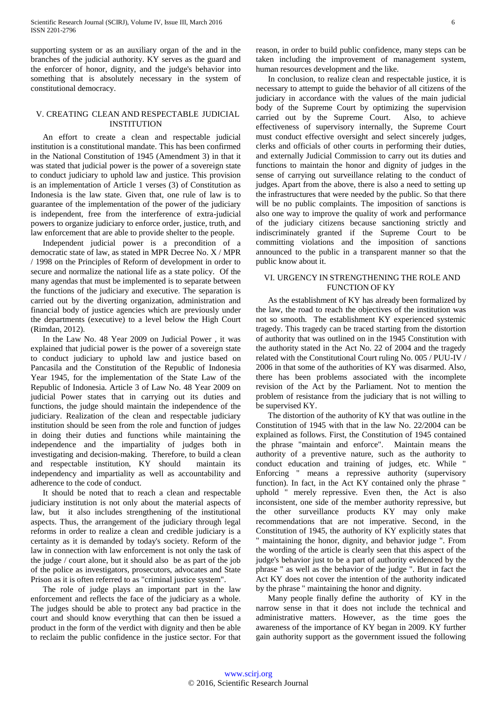supporting system or as an auxiliary organ of the and in the branches of the judicial authority. KY serves as the guard and the enforcer of honor, dignity, and the judge's behavior into something that is absolutely necessary in the system of constitutional democracy.

## V. CREATING CLEAN AND RESPECTABLE JUDICIAL INSTITUTION

An effort to create a clean and respectable judicial institution is a constitutional mandate. This has been confirmed in the National Constitution of 1945 (Amendment 3) in that it was stated that judicial power is the power of a sovereign state to conduct judiciary to uphold law and justice. This provision is an implementation of Article 1 verses (3) of Constitution as Indonesia is the law state. Given that, one rule of law is to guarantee of the implementation of the power of the judiciary is independent, free from the interference of extra-judicial powers to organize judiciary to enforce order, justice, truth, and law enforcement that are able to provide shelter to the people.

Independent judicial power is a precondition of a democratic state of law, as stated in MPR Decree No. X / MPR / 1998 on the Principles of Reform of development in order to secure and normalize the national life as a state policy. Of the many agendas that must be implemented is to separate between the functions of the judiciary and executive. The separation is carried out by the diverting organization, administration and financial body of justice agencies which are previously under the departments (executive) to a level below the High Court (Rimdan, 2012).

In the Law No. 48 Year 2009 on Judicial Power , it was explained that judicial power is the power of a sovereign state to conduct judiciary to uphold law and justice based on Pancasila and the Constitution of the Republic of Indonesia Year 1945, for the implementation of the State Law of the Republic of Indonesia. Article 3 of Law No. 48 Year 2009 on judicial Power states that in carrying out its duties and functions, the judge should maintain the independence of the judiciary. Realization of the clean and respectable judiciary institution should be seen from the role and function of judges in doing their duties and functions while maintaining the independence and the impartiality of judges both in investigating and decision-making. Therefore, to build a clean and respectable institution, KY should maintain its independency and impartiality as well as accountability and adherence to the code of conduct.

It should be noted that to reach a clean and respectable judiciary institution is not only about the material aspects of law, but it also includes strengthening of the institutional aspects. Thus, the arrangement of the judiciary through legal reforms in order to realize a clean and credible judiciary is a certainty as it is demanded by today's society. Reform of the law in connection with law enforcement is not only the task of the judge / court alone, but it should also be as part of the job of the police as investigators, prosecutors, advocates and State Prison as it is often referred to as "criminal justice system".

The role of judge plays an important part in the law enforcement and reflects the face of the judiciary as a whole. The judges should be able to protect any bad practice in the court and should know everything that can then be issued a product in the form of the verdict with dignity and then be able to reclaim the public confidence in the justice sector. For that

reason, in order to build public confidence, many steps can be taken including the improvement of management system, human resources development and the like.

In conclusion, to realize clean and respectable justice, it is necessary to attempt to guide the behavior of all citizens of the judiciary in accordance with the values of the main judicial body of the Supreme Court by optimizing the supervision carried out by the Supreme Court. Also, to achieve effectiveness of supervisory internally, the Supreme Court must conduct effective oversight and select sincerely judges, clerks and officials of other courts in performing their duties, and externally Judicial Commission to carry out its duties and functions to maintain the honor and dignity of judges in the sense of carrying out surveillance relating to the conduct of judges. Apart from the above, there is also a need to setting up the infrastructures that were needed by the public. So that there will be no public complaints. The imposition of sanctions is also one way to improve the quality of work and performance of the judiciary citizens because sanctioning strictly and indiscriminately granted if the Supreme Court to be committing violations and the imposition of sanctions announced to the public in a transparent manner so that the public know about it.

## VI. URGENCY IN STRENGTHENING THE ROLE AND FUNCTION OF KY

As the establishment of KY has already been formalized by the law, the road to reach the objectives of the institution was not so smooth. The establishment KY experienced systemic tragedy. This tragedy can be traced starting from the distortion of authority that was outlined on in the 1945 Constitution with the authority stated in the Act No. 22 of 2004 and the tragedy related with the Constitutional Court ruling No. 005 / PUU-IV / 2006 in that some of the authorities of KY was disarmed. Also, there has been problems associated with the incomplete revision of the Act by the Parliament. Not to mention the problem of resistance from the judiciary that is not willing to be supervised KY.

The distortion of the authority of KY that was outline in the Constitution of 1945 with that in the law No. 22/2004 can be explained as follows. First, the Constitution of 1945 contained the phrase "maintain and enforce". Maintain means the authority of a preventive nature, such as the authority to conduct education and training of judges, etc. While " Enforcing " means a repressive authority (supervisory function). In fact, in the Act KY contained only the phrase " uphold " merely repressive. Even then, the Act is also inconsistent, one side of the member authority repressive, but the other surveillance products KY may only make recommendations that are not imperative. Second, in the Constitution of 1945, the authority of KY explicitly states that " maintaining the honor, dignity, and behavior judge ". From the wording of the article is clearly seen that this aspect of the judge's behavior just to be a part of authority evidenced by the phrase " as well as the behavior of the judge ". But in fact the Act KY does not cover the intention of the authority indicated by the phrase " maintaining the honor and dignity.

Many people finally define the authority of KY in the narrow sense in that it does not include the technical and administrative matters. However, as the time goes the awareness of the importance of KY began in 2009. KY further gain authority support as the government issued the following